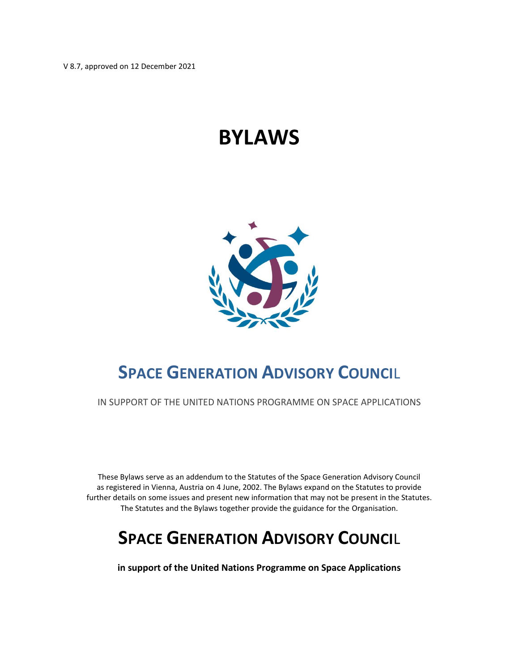V 8.7, approved on 12 December 2021

# **BYLAWS**



# **SPACE GENERATION ADVISORY COUNCI**L

IN SUPPORT OF THE UNITED NATIONS PROGRAMME ON SPACE APPLICATIONS

These Bylaws serve as an addendum to the Statutes of the Space Generation Advisory Council as registered in Vienna, Austria on 4 June, 2002. The Bylaws expand on the Statutes to provide further details on some issues and present new information that may not be present in the Statutes. The Statutes and the Bylaws together provide the guidance for the Organisation.

# **SPACE GENERATION ADVISORY COUNCI**L

**in support of the United Nations Programme on Space Applications**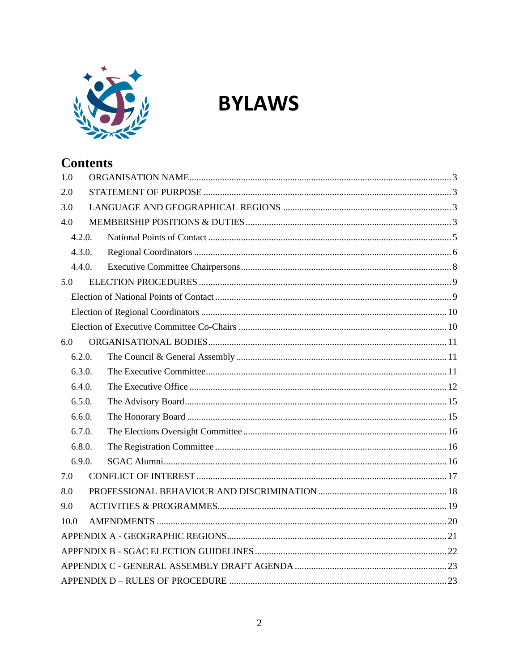

# **BYLAWS**

# **Contents**

| 1.0    |  |
|--------|--|
| 2.0    |  |
| 3.0    |  |
| 4.0    |  |
| 4.2.0. |  |
| 4.3.0. |  |
| 4.4.0. |  |
| 5.0    |  |
|        |  |
|        |  |
|        |  |
| 6.0    |  |
| 6.2.0. |  |
| 6.3.0. |  |
| 6.4.0. |  |
| 6.5.0. |  |
| 6.6.0. |  |
| 6.7.0. |  |
| 6.8.0. |  |
| 6.9.0. |  |
| 7.0    |  |
| 8.0    |  |
| 9.0    |  |
| 10.0   |  |
|        |  |
|        |  |
|        |  |
|        |  |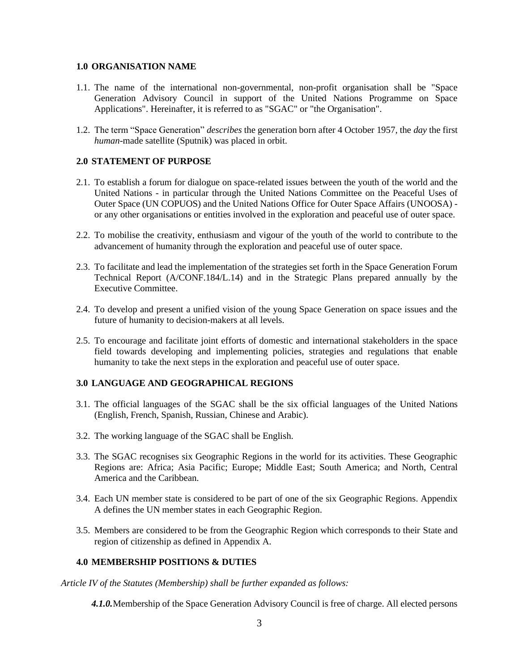#### <span id="page-2-0"></span>**1.0 ORGANISATION NAME**

- 1.1. The name of the international non-governmental, non-profit organisation shall be "Space Generation Advisory Council in support of the United Nations Programme on Space Applications". Hereinafter, it is referred to as "SGAC" or "the Organisation".
- 1.2. The term "Space Generation" *describes* the generation born after 4 October 1957, the *day* the first *human*-made satellite (Sputnik) was placed in orbit.

# <span id="page-2-1"></span>**2.0 STATEMENT OF PURPOSE**

- 2.1. To establish a forum for dialogue on space-related issues between the youth of the world and the United Nations - in particular through the United Nations Committee on the Peaceful Uses of Outer Space (UN COPUOS) and the United Nations Office for Outer Space Affairs (UNOOSA) or any other organisations or entities involved in the exploration and peaceful use of outer space.
- 2.2. To mobilise the creativity, enthusiasm and vigour of the youth of the world to contribute to the advancement of humanity through the exploration and peaceful use of outer space.
- 2.3. To facilitate and lead the implementation of the strategies set forth in the Space Generation Forum Technical Report (A/CONF.184/L.14) and in the Strategic Plans prepared annually by the Executive Committee.
- 2.4. To develop and present a unified vision of the young Space Generation on space issues and the future of humanity to decision-makers at all levels.
- 2.5. To encourage and facilitate joint efforts of domestic and international stakeholders in the space field towards developing and implementing policies, strategies and regulations that enable humanity to take the next steps in the exploration and peaceful use of outer space.

# <span id="page-2-2"></span>**3.0 LANGUAGE AND GEOGRAPHICAL REGIONS**

- 3.1. The official languages of the SGAC shall be the six official languages of the United Nations (English, French, Spanish, Russian, Chinese and Arabic).
- 3.2. The working language of the SGAC shall be English.
- 3.3. The SGAC recognises six Geographic Regions in the world for its activities. These Geographic Regions are: Africa; Asia Pacific; Europe; Middle East; South America; and North, Central America and the Caribbean.
- 3.4. Each UN member state is considered to be part of one of the six Geographic Regions. Appendix A defines the UN member states in each Geographic Region.
- 3.5. Members are considered to be from the Geographic Region which corresponds to their State and region of citizenship as defined in Appendix A.

# <span id="page-2-3"></span>**4.0 MEMBERSHIP POSITIONS & DUTIES**

*Article IV of the Statutes (Membership) shall be further expanded as follows:* 

*4.1.0.*Membership of the Space Generation Advisory Council is free of charge. All elected persons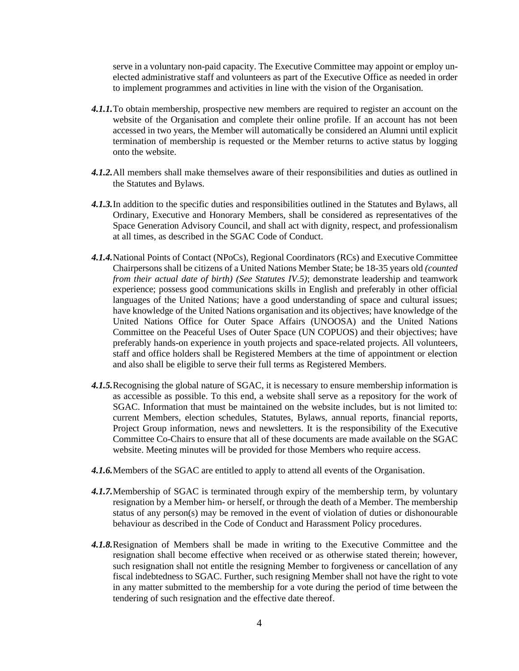serve in a voluntary non-paid capacity. The Executive Committee may appoint or employ unelected administrative staff and volunteers as part of the Executive Office as needed in order to implement programmes and activities in line with the vision of the Organisation.

- *4.1.1.*To obtain membership, prospective new members are required to register an account on the website of the Organisation and complete their online profile. If an account has not been accessed in two years, the Member will automatically be considered an Alumni until explicit termination of membership is requested or the Member returns to active status by logging onto the website.
- *4.1.2.*All members shall make themselves aware of their responsibilities and duties as outlined in the Statutes and Bylaws.
- *4.1.3.*In addition to the specific duties and responsibilities outlined in the Statutes and Bylaws, all Ordinary, Executive and Honorary Members, shall be considered as representatives of the Space Generation Advisory Council, and shall act with dignity, respect, and professionalism at all times, as described in the SGAC Code of Conduct.
- *4.1.4.*National Points of Contact (NPoCs), Regional Coordinators (RCs) and Executive Committee Chairpersons shall be citizens of a United Nations Member State; be 18-35 years old *(counted from their actual date of birth) (See Statutes IV.5)*; demonstrate leadership and teamwork experience; possess good communications skills in English and preferably in other official languages of the United Nations; have a good understanding of space and cultural issues; have knowledge of the United Nations organisation and its objectives; have knowledge of the United Nations Office for Outer Space Affairs (UNOOSA) and the United Nations Committee on the Peaceful Uses of Outer Space (UN COPUOS) and their objectives; have preferably hands-on experience in youth projects and space-related projects. All volunteers, staff and office holders shall be Registered Members at the time of appointment or election and also shall be eligible to serve their full terms as Registered Members.
- *4.1.5.*Recognising the global nature of SGAC, it is necessary to ensure membership information is as accessible as possible. To this end, a website shall serve as a repository for the work of SGAC. Information that must be maintained on the website includes, but is not limited to: current Members, election schedules, Statutes, Bylaws, annual reports, financial reports, Project Group information, news and newsletters. It is the responsibility of the Executive Committee Co-Chairs to ensure that all of these documents are made available on the SGAC website. Meeting minutes will be provided for those Members who require access.
- *4.1.6.*Members of the SGAC are entitled to apply to attend all events of the Organisation.
- *4.1.7.*Membership of SGAC is terminated through expiry of the membership term, by voluntary resignation by a Member him- or herself, or through the death of a Member. The membership status of any person(s) may be removed in the event of violation of duties or dishonourable behaviour as described in the Code of Conduct and Harassment Policy procedures.
- *4.1.8.*Resignation of Members shall be made in writing to the Executive Committee and the resignation shall become effective when received or as otherwise stated therein; however, such resignation shall not entitle the resigning Member to forgiveness or cancellation of any fiscal indebtedness to SGAC. Further, such resigning Member shall not have the right to vote in any matter submitted to the membership for a vote during the period of time between the tendering of such resignation and the effective date thereof.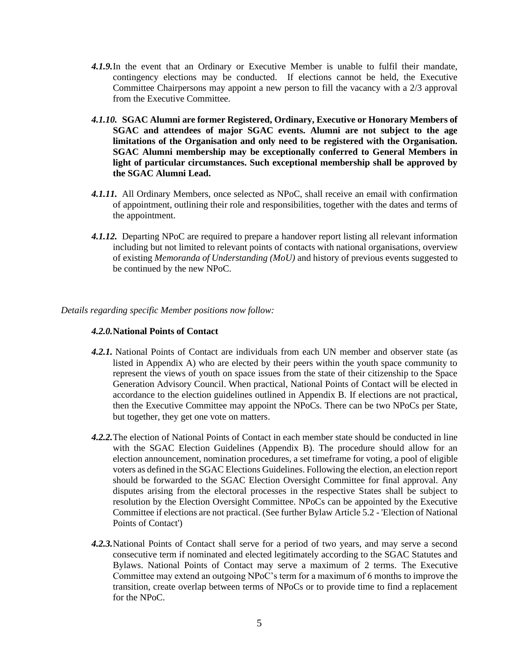- *4.1.9.*In the event that an Ordinary or Executive Member is unable to fulfil their mandate, contingency elections may be conducted. If elections cannot be held, the Executive Committee Chairpersons may appoint a new person to fill the vacancy with a 2/3 approval from the Executive Committee.
- *4.1.10.* **SGAC Alumni are former Registered, Ordinary, Executive or Honorary Members of SGAC and attendees of major SGAC events. Alumni are not subject to the age limitations of the Organisation and only need to be registered with the Organisation. SGAC Alumni membership may be exceptionally conferred to General Members in light of particular circumstances. Such exceptional membership shall be approved by the SGAC Alumni Lead.**
- *4.1.11.* All Ordinary Members, once selected as NPoC, shall receive an email with confirmation of appointment, outlining their role and responsibilities, together with the dates and terms of the appointment.
- *4.1.12.* Departing NPoC are required to prepare a handover report listing all relevant information including but not limited to relevant points of contacts with national organisations, overview of existing *Memoranda of Understanding (MoU)* and history of previous events suggested to be continued by the new NPoC.

#### *Details regarding specific Member positions now follow:*

#### <span id="page-4-0"></span>*4.2.0.***National Points of Contact**

- *4.2.1.* National Points of Contact are individuals from each UN member and observer state (as listed in Appendix A) who are elected by their peers within the youth space community to represent the views of youth on space issues from the state of their citizenship to the Space Generation Advisory Council. When practical, National Points of Contact will be elected in accordance to the election guidelines outlined in Appendix B. If elections are not practical, then the Executive Committee may appoint the NPoCs. There can be two NPoCs per State, but together, they get one vote on matters.
- *4.2.2.*The election of National Points of Contact in each member state should be conducted in line with the SGAC Election Guidelines (Appendix B). The procedure should allow for an election announcement, nomination procedures, a set timeframe for voting, a pool of eligible voters as defined in the SGAC Elections Guidelines. Following the election, an election report should be forwarded to the SGAC Election Oversight Committee for final approval. Any disputes arising from the electoral processes in the respective States shall be subject to resolution by the Election Oversight Committee. NPoCs can be appointed by the Executive Committee if elections are not practical. (See further Bylaw Article 5.2 - 'Election of National Points of Contact')
- *4.2.3.*National Points of Contact shall serve for a period of two years, and may serve a second consecutive term if nominated and elected legitimately according to the SGAC Statutes and Bylaws. National Points of Contact may serve a maximum of 2 terms. The Executive Committee may extend an outgoing NPoC's term for a maximum of 6 months to improve the transition, create overlap between terms of NPoCs or to provide time to find a replacement for the NPoC.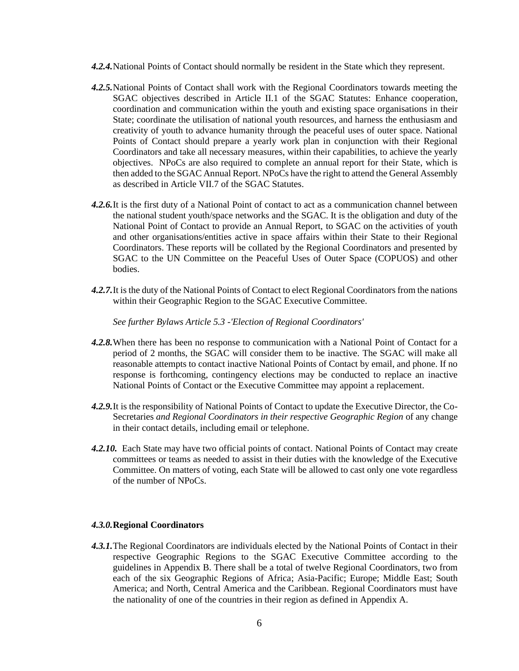- *4.2.4.*National Points of Contact should normally be resident in the State which they represent.
- *4.2.5.*National Points of Contact shall work with the Regional Coordinators towards meeting the SGAC objectives described in Article II.1 of the SGAC Statutes: Enhance cooperation, coordination and communication within the youth and existing space organisations in their State; coordinate the utilisation of national youth resources, and harness the enthusiasm and creativity of youth to advance humanity through the peaceful uses of outer space. National Points of Contact should prepare a yearly work plan in conjunction with their Regional Coordinators and take all necessary measures, within their capabilities, to achieve the yearly objectives. NPoCs are also required to complete an annual report for their State, which is then added to the SGAC Annual Report. NPoCs have the right to attend the General Assembly as described in Article VII.7 of the SGAC Statutes.
- *4.2.6.*It is the first duty of a National Point of contact to act as a communication channel between the national student youth/space networks and the SGAC. It is the obligation and duty of the National Point of Contact to provide an Annual Report, to SGAC on the activities of youth and other organisations/entities active in space affairs within their State to their Regional Coordinators. These reports will be collated by the Regional Coordinators and presented by SGAC to the UN Committee on the Peaceful Uses of Outer Space (COPUOS) and other bodies.
- *4.2.7.*It is the duty of the National Points of Contact to elect Regional Coordinators from the nations within their Geographic Region to the SGAC Executive Committee.

*See further Bylaws Article 5.3 -'Election of Regional Coordinators'* 

- *4.2.8.*When there has been no response to communication with a National Point of Contact for a period of 2 months, the SGAC will consider them to be inactive. The SGAC will make all reasonable attempts to contact inactive National Points of Contact by email, and phone. If no response is forthcoming, contingency elections may be conducted to replace an inactive National Points of Contact or the Executive Committee may appoint a replacement.
- *4.2.9.*It is the responsibility of National Points of Contact to update the Executive Director, the Co-Secretaries *and Regional Coordinators in their respective Geographic Region* of any change in their contact details, including email or telephone.
- *4.2.10.* Each State may have two official points of contact. National Points of Contact may create committees or teams as needed to assist in their duties with the knowledge of the Executive Committee. On matters of voting, each State will be allowed to cast only one vote regardless of the number of NPoCs.

#### <span id="page-5-0"></span>*4.3.0.***Regional Coordinators**

*4.3.1.*The Regional Coordinators are individuals elected by the National Points of Contact in their respective Geographic Regions to the SGAC Executive Committee according to the guidelines in Appendix B. There shall be a total of twelve Regional Coordinators, two from each of the six Geographic Regions of Africa; Asia-Pacific; Europe; Middle East; South America; and North, Central America and the Caribbean. Regional Coordinators must have the nationality of one of the countries in their region as defined in Appendix A.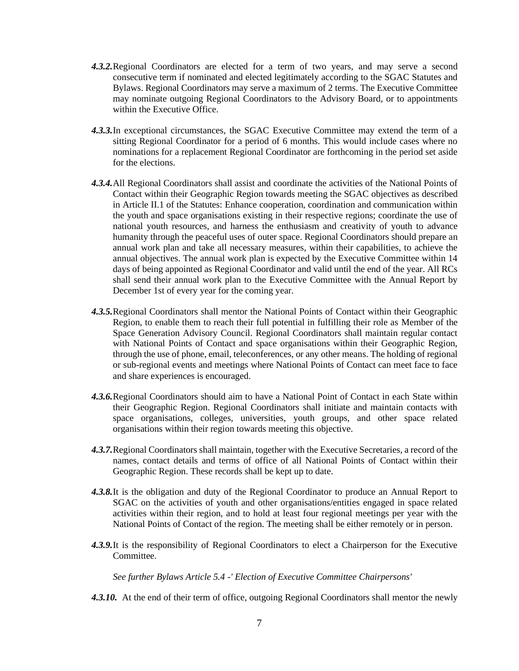- *4.3.2.*Regional Coordinators are elected for a term of two years, and may serve a second consecutive term if nominated and elected legitimately according to the SGAC Statutes and Bylaws. Regional Coordinators may serve a maximum of 2 terms. The Executive Committee may nominate outgoing Regional Coordinators to the Advisory Board, or to appointments within the Executive Office.
- *4.3.3.*In exceptional circumstances, the SGAC Executive Committee may extend the term of a sitting Regional Coordinator for a period of 6 months. This would include cases where no nominations for a replacement Regional Coordinator are forthcoming in the period set aside for the elections.
- *4.3.4.*All Regional Coordinators shall assist and coordinate the activities of the National Points of Contact within their Geographic Region towards meeting the SGAC objectives as described in Article II.1 of the Statutes: Enhance cooperation, coordination and communication within the youth and space organisations existing in their respective regions; coordinate the use of national youth resources, and harness the enthusiasm and creativity of youth to advance humanity through the peaceful uses of outer space. Regional Coordinators should prepare an annual work plan and take all necessary measures, within their capabilities, to achieve the annual objectives. The annual work plan is expected by the Executive Committee within 14 days of being appointed as Regional Coordinator and valid until the end of the year. All RCs shall send their annual work plan to the Executive Committee with the Annual Report by December 1st of every year for the coming year.
- *4.3.5.*Regional Coordinators shall mentor the National Points of Contact within their Geographic Region, to enable them to reach their full potential in fulfilling their role as Member of the Space Generation Advisory Council. Regional Coordinators shall maintain regular contact with National Points of Contact and space organisations within their Geographic Region, through the use of phone, email, teleconferences, or any other means. The holding of regional or sub-regional events and meetings where National Points of Contact can meet face to face and share experiences is encouraged.
- *4.3.6.*Regional Coordinators should aim to have a National Point of Contact in each State within their Geographic Region. Regional Coordinators shall initiate and maintain contacts with space organisations, colleges, universities, youth groups, and other space related organisations within their region towards meeting this objective.
- *4.3.7.*Regional Coordinators shall maintain, together with the Executive Secretaries, a record of the names, contact details and terms of office of all National Points of Contact within their Geographic Region. These records shall be kept up to date.
- *4.3.8.*It is the obligation and duty of the Regional Coordinator to produce an Annual Report to SGAC on the activities of youth and other organisations/entities engaged in space related activities within their region, and to hold at least four regional meetings per year with the National Points of Contact of the region. The meeting shall be either remotely or in person.
- *4.3.9.*It is the responsibility of Regional Coordinators to elect a Chairperson for the Executive Committee.

*See further Bylaws Article 5.4 -' Election of Executive Committee Chairpersons'* 

*4.3.10.* At the end of their term of office, outgoing Regional Coordinators shall mentor the newly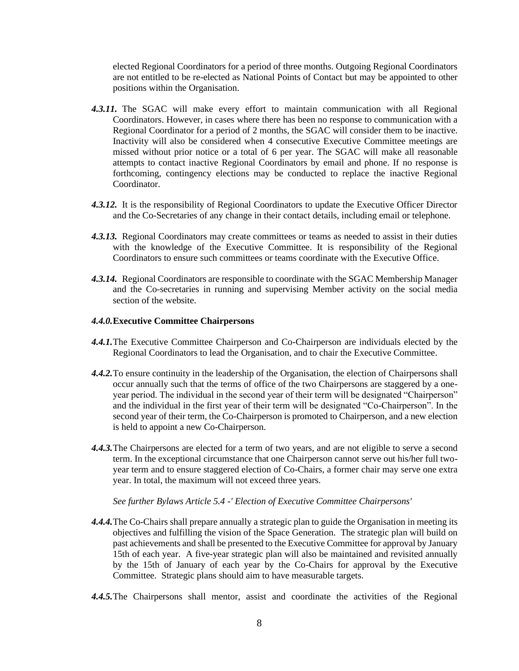elected Regional Coordinators for a period of three months. Outgoing Regional Coordinators are not entitled to be re-elected as National Points of Contact but may be appointed to other positions within the Organisation.

- *4.3.11.* The SGAC will make every effort to maintain communication with all Regional Coordinators. However, in cases where there has been no response to communication with a Regional Coordinator for a period of 2 months, the SGAC will consider them to be inactive. Inactivity will also be considered when 4 consecutive Executive Committee meetings are missed without prior notice or a total of 6 per year. The SGAC will make all reasonable attempts to contact inactive Regional Coordinators by email and phone. If no response is forthcoming, contingency elections may be conducted to replace the inactive Regional Coordinator.
- *4.3.12.* It is the responsibility of Regional Coordinators to update the Executive Officer Director and the Co-Secretaries of any change in their contact details, including email or telephone.
- *4.3.13.* Regional Coordinators may create committees or teams as needed to assist in their duties with the knowledge of the Executive Committee. It is responsibility of the Regional Coordinators to ensure such committees or teams coordinate with the Executive Office.
- *4.3.14.* Regional Coordinators are responsible to coordinate with the SGAC Membership Manager and the Co-secretaries in running and supervising Member activity on the social media section of the website.

# <span id="page-7-0"></span>*4.4.0.***Executive Committee Chairpersons**

- *4.4.1.*The Executive Committee Chairperson and Co-Chairperson are individuals elected by the Regional Coordinators to lead the Organisation, and to chair the Executive Committee.
- *4.4.2.*To ensure continuity in the leadership of the Organisation, the election of Chairpersons shall occur annually such that the terms of office of the two Chairpersons are staggered by a oneyear period. The individual in the second year of their term will be designated "Chairperson" and the individual in the first year of their term will be designated "Co-Chairperson". In the second year of their term, the Co-Chairperson is promoted to Chairperson, and a new election is held to appoint a new Co-Chairperson.
- *4.4.3.*The Chairpersons are elected for a term of two years, and are not eligible to serve a second term. In the exceptional circumstance that one Chairperson cannot serve out his/her full twoyear term and to ensure staggered election of Co-Chairs, a former chair may serve one extra year. In total, the maximum will not exceed three years.

*See further Bylaws Article 5.4 -' Election of Executive Committee Chairpersons'* 

- *4.4.4.*The Co-Chairs shall prepare annually a strategic plan to guide the Organisation in meeting its objectives and fulfilling the vision of the Space Generation. The strategic plan will build on past achievements and shall be presented to the Executive Committee for approval by January 15th of each year. A five-year strategic plan will also be maintained and revisited annually by the 15th of January of each year by the Co-Chairs for approval by the Executive Committee. Strategic plans should aim to have measurable targets.
- *4.4.5.*The Chairpersons shall mentor, assist and coordinate the activities of the Regional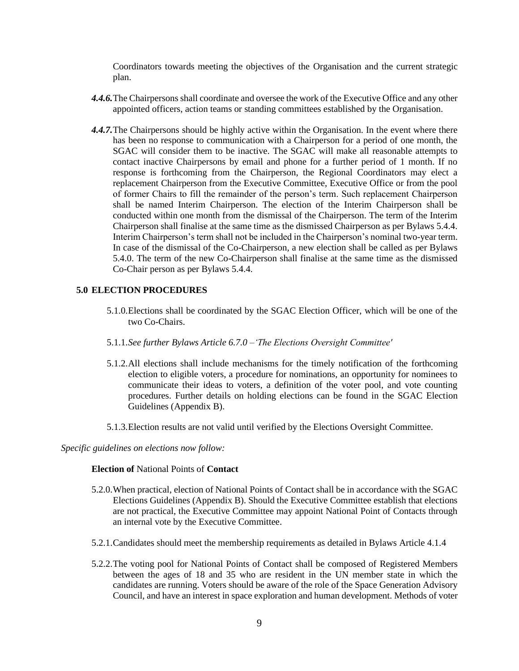Coordinators towards meeting the objectives of the Organisation and the current strategic plan.

- *4.4.6.*The Chairpersons shall coordinate and oversee the work of the Executive Office and any other appointed officers, action teams or standing committees established by the Organisation.
- *4.4.7.*The Chairpersons should be highly active within the Organisation. In the event where there has been no response to communication with a Chairperson for a period of one month, the SGAC will consider them to be inactive. The SGAC will make all reasonable attempts to contact inactive Chairpersons by email and phone for a further period of 1 month. If no response is forthcoming from the Chairperson, the Regional Coordinators may elect a replacement Chairperson from the Executive Committee, Executive Office or from the pool of former Chairs to fill the remainder of the person's term. Such replacement Chairperson shall be named Interim Chairperson. The election of the Interim Chairperson shall be conducted within one month from the dismissal of the Chairperson. The term of the Interim Chairperson shall finalise at the same time as the dismissed Chairperson as per Bylaws 5.4.4. Interim Chairperson's term shall not be included in the Chairperson's nominal two-year term. In case of the dismissal of the Co-Chairperson, a new election shall be called as per Bylaws 5.4.0. The term of the new Co-Chairperson shall finalise at the same time as the dismissed Co-Chair person as per Bylaws 5.4.4.

### <span id="page-8-0"></span>**5.0 ELECTION PROCEDURES**

- 5.1.0.Elections shall be coordinated by the SGAC Election Officer, which will be one of the two Co-Chairs.
- 5.1.1.*See further Bylaws Article 6.7.0 –'The Elections Oversight Committee'*
- 5.1.2.All elections shall include mechanisms for the timely notification of the forthcoming election to eligible voters, a procedure for nominations, an opportunity for nominees to communicate their ideas to voters, a definition of the voter pool, and vote counting procedures. Further details on holding elections can be found in the SGAC Election Guidelines (Appendix B).
- 5.1.3.Election results are not valid until verified by the Elections Oversight Committee.

*Specific guidelines on elections now follow:* 

#### <span id="page-8-1"></span>**Election of** National Points of **Contact**

- 5.2.0.When practical, election of National Points of Contact shall be in accordance with the SGAC Elections Guidelines (Appendix B). Should the Executive Committee establish that elections are not practical, the Executive Committee may appoint National Point of Contacts through an internal vote by the Executive Committee.
- 5.2.1.Candidates should meet the membership requirements as detailed in Bylaws Article 4.1.4
- 5.2.2.The voting pool for National Points of Contact shall be composed of Registered Members between the ages of 18 and 35 who are resident in the UN member state in which the candidates are running. Voters should be aware of the role of the Space Generation Advisory Council, and have an interest in space exploration and human development. Methods of voter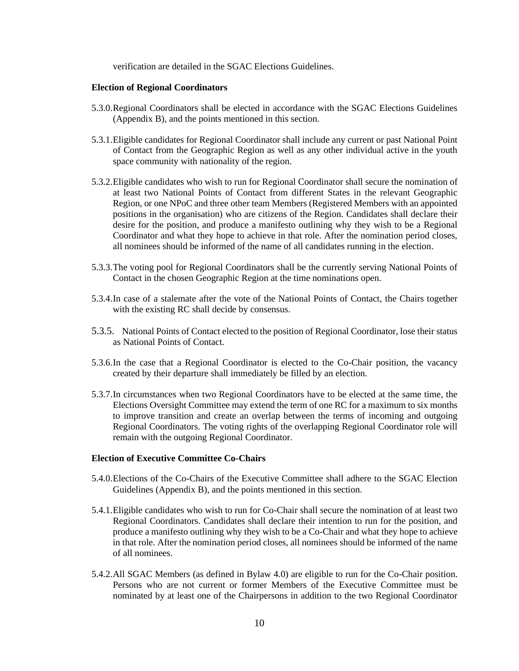verification are detailed in the SGAC Elections Guidelines.

#### <span id="page-9-0"></span>**Election of Regional Coordinators**

- 5.3.0.Regional Coordinators shall be elected in accordance with the SGAC Elections Guidelines (Appendix B), and the points mentioned in this section.
- 5.3.1.Eligible candidates for Regional Coordinator shall include any current or past National Point of Contact from the Geographic Region as well as any other individual active in the youth space community with nationality of the region.
- 5.3.2.Eligible candidates who wish to run for Regional Coordinator shall secure the nomination of at least two National Points of Contact from different States in the relevant Geographic Region, or one NPoC and three other team Members (Registered Members with an appointed positions in the organisation) who are citizens of the Region. Candidates shall declare their desire for the position, and produce a manifesto outlining why they wish to be a Regional Coordinator and what they hope to achieve in that role. After the nomination period closes, all nominees should be informed of the name of all candidates running in the election.
- 5.3.3.The voting pool for Regional Coordinators shall be the currently serving National Points of Contact in the chosen Geographic Region at the time nominations open.
- 5.3.4.In case of a stalemate after the vote of the National Points of Contact, the Chairs together with the existing RC shall decide by consensus.
- 5.3.5. National Points of Contact elected to the position of Regional Coordinator, lose their status as National Points of Contact.
- 5.3.6.In the case that a Regional Coordinator is elected to the Co-Chair position, the vacancy created by their departure shall immediately be filled by an election.
- 5.3.7.In circumstances when two Regional Coordinators have to be elected at the same time, the Elections Oversight Committee may extend the term of one RC for a maximum to six months to improve transition and create an overlap between the terms of incoming and outgoing Regional Coordinators. The voting rights of the overlapping Regional Coordinator role will remain with the outgoing Regional Coordinator.

#### <span id="page-9-1"></span>**Election of Executive Committee Co-Chairs**

- 5.4.0.Elections of the Co-Chairs of the Executive Committee shall adhere to the SGAC Election Guidelines (Appendix B), and the points mentioned in this section.
- 5.4.1.Eligible candidates who wish to run for Co-Chair shall secure the nomination of at least two Regional Coordinators. Candidates shall declare their intention to run for the position, and produce a manifesto outlining why they wish to be a Co-Chair and what they hope to achieve in that role. After the nomination period closes, all nominees should be informed of the name of all nominees.
- 5.4.2.All SGAC Members (as defined in Bylaw 4.0) are eligible to run for the Co-Chair position. Persons who are not current or former Members of the Executive Committee must be nominated by at least one of the Chairpersons in addition to the two Regional Coordinator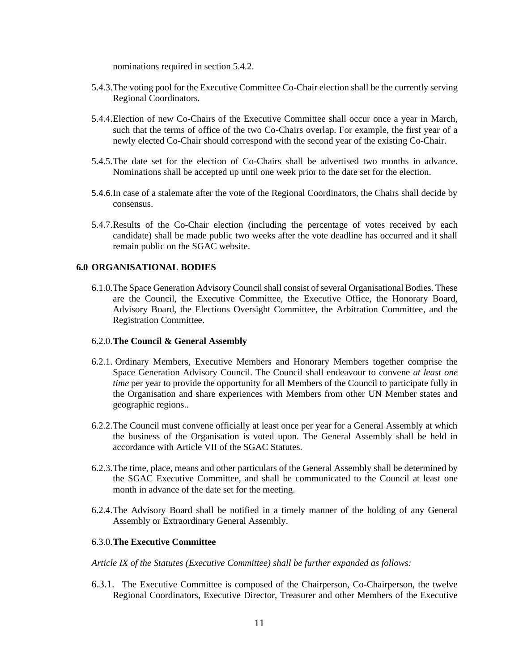nominations required in section 5.4.2.

- 5.4.3.The voting pool for the Executive Committee Co-Chair election shall be the currently serving Regional Coordinators.
- 5.4.4.Election of new Co-Chairs of the Executive Committee shall occur once a year in March, such that the terms of office of the two Co-Chairs overlap. For example, the first year of a newly elected Co-Chair should correspond with the second year of the existing Co-Chair.
- 5.4.5.The date set for the election of Co-Chairs shall be advertised two months in advance. Nominations shall be accepted up until one week prior to the date set for the election.
- 5.4.6.In case of a stalemate after the vote of the Regional Coordinators, the Chairs shall decide by consensus.
- 5.4.7.Results of the Co-Chair election (including the percentage of votes received by each candidate) shall be made public two weeks after the vote deadline has occurred and it shall remain public on the SGAC website.

# <span id="page-10-0"></span>**6.0 ORGANISATIONAL BODIES**

6.1.0.The Space Generation Advisory Council shall consist of several Organisational Bodies. These are the Council, the Executive Committee, the Executive Office, the Honorary Board, Advisory Board, the Elections Oversight Committee, the Arbitration Committee, and the Registration Committee.

#### <span id="page-10-1"></span>6.2.0.**The Council & General Assembly**

- 6.2.1. Ordinary Members, Executive Members and Honorary Members together comprise the Space Generation Advisory Council. The Council shall endeavour to convene *at least one time* per year to provide the opportunity for all Members of the Council to participate fully in the Organisation and share experiences with Members from other UN Member states and geographic regions..
- 6.2.2.The Council must convene officially at least once per year for a General Assembly at which the business of the Organisation is voted upon. The General Assembly shall be held in accordance with Article VII of the SGAC Statutes.
- 6.2.3.The time, place, means and other particulars of the General Assembly shall be determined by the SGAC Executive Committee, and shall be communicated to the Council at least one month in advance of the date set for the meeting.
- 6.2.4.The Advisory Board shall be notified in a timely manner of the holding of any General Assembly or Extraordinary General Assembly.

# <span id="page-10-2"></span>6.3.0.**The Executive Committee**

*Article IX of the Statutes (Executive Committee) shall be further expanded as follows:*

6.3.1. The Executive Committee is composed of the Chairperson, Co-Chairperson, the twelve Regional Coordinators, Executive Director, Treasurer and other Members of the Executive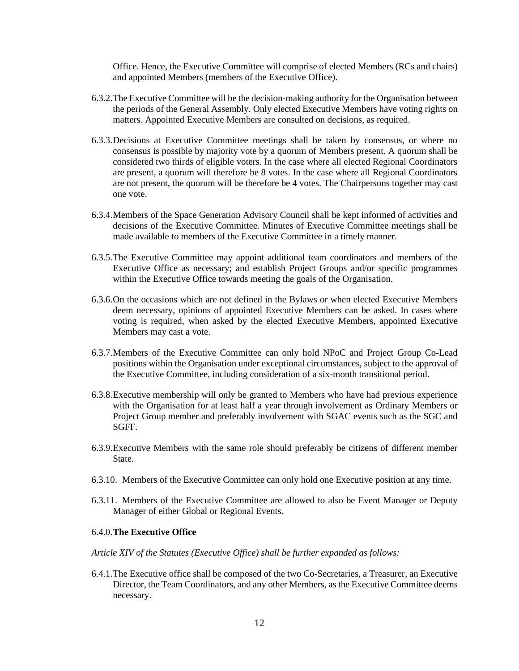Office. Hence, the Executive Committee will comprise of elected Members (RCs and chairs) and appointed Members (members of the Executive Office).

- 6.3.2.The Executive Committee will be the decision-making authority for the Organisation between the periods of the General Assembly. Only elected Executive Members have voting rights on matters. Appointed Executive Members are consulted on decisions, as required.
- 6.3.3.Decisions at Executive Committee meetings shall be taken by consensus, or where no consensus is possible by majority vote by a quorum of Members present. A quorum shall be considered two thirds of eligible voters. In the case where all elected Regional Coordinators are present, a quorum will therefore be 8 votes. In the case where all Regional Coordinators are not present, the quorum will be therefore be 4 votes. The Chairpersons together may cast one vote.
- 6.3.4.Members of the Space Generation Advisory Council shall be kept informed of activities and decisions of the Executive Committee. Minutes of Executive Committee meetings shall be made available to members of the Executive Committee in a timely manner.
- 6.3.5.The Executive Committee may appoint additional team coordinators and members of the Executive Office as necessary; and establish Project Groups and/or specific programmes within the Executive Office towards meeting the goals of the Organisation.
- 6.3.6.On the occasions which are not defined in the Bylaws or when elected Executive Members deem necessary, opinions of appointed Executive Members can be asked. In cases where voting is required, when asked by the elected Executive Members, appointed Executive Members may cast a vote.
- 6.3.7.Members of the Executive Committee can only hold NPoC and Project Group Co-Lead positions within the Organisation under exceptional circumstances, subject to the approval of the Executive Committee, including consideration of a six-month transitional period.
- 6.3.8.Executive membership will only be granted to Members who have had previous experience with the Organisation for at least half a year through involvement as Ordinary Members or Project Group member and preferably involvement with SGAC events such as the SGC and SGFF.
- 6.3.9.Executive Members with the same role should preferably be citizens of different member State.
- 6.3.10. Members of the Executive Committee can only hold one Executive position at any time.
- 6.3.11. Members of the Executive Committee are allowed to also be Event Manager or Deputy Manager of either Global or Regional Events.

# <span id="page-11-0"></span>6.4.0.**The Executive Office**

#### *Article XIV of the Statutes (Executive Office) shall be further expanded as follows:*

6.4.1.The Executive office shall be composed of the two Co-Secretaries, a Treasurer, an Executive Director, the Team Coordinators, and any other Members, as the Executive Committee deems necessary.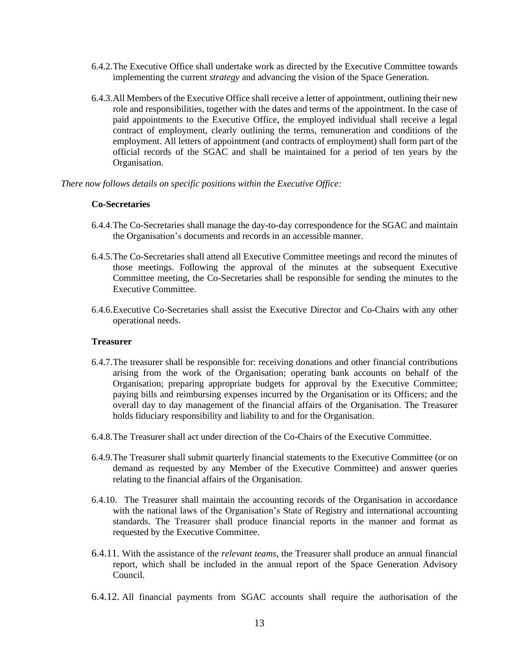- 6.4.2.The Executive Office shall undertake work as directed by the Executive Committee towards implementing the current *strategy* and advancing the vision of the Space Generation.
- 6.4.3.All Members of the Executive Office shall receive a letter of appointment, outlining their new role and responsibilities, together with the dates and terms of the appointment. In the case of paid appointments to the Executive Office, the employed individual shall receive a legal contract of employment, clearly outlining the terms, remuneration and conditions of the employment. All letters of appointment (and contracts of employment) shall form part of the official records of the SGAC and shall be maintained for a period of ten years by the Organisation.

*There now follows details on specific positions within the Executive Office:*

#### **Co-Secretaries**

- 6.4.4.The Co-Secretaries shall manage the day-to-day correspondence for the SGAC and maintain the Organisation's documents and records in an accessible manner.
- 6.4.5.The Co-Secretaries shall attend all Executive Committee meetings and record the minutes of those meetings. Following the approval of the minutes at the subsequent Executive Committee meeting, the Co-Secretaries shall be responsible for sending the minutes to the Executive Committee.
- 6.4.6.Executive Co-Secretaries shall assist the Executive Director and Co-Chairs with any other operational needs.

#### **Treasurer**

- 6.4.7.The treasurer shall be responsible for: receiving donations and other financial contributions arising from the work of the Organisation; operating bank accounts on behalf of the Organisation; preparing appropriate budgets for approval by the Executive Committee; paying bills and reimbursing expenses incurred by the Organisation or its Officers; and the overall day to day management of the financial affairs of the Organisation. The Treasurer holds fiduciary responsibility and liability to and for the Organisation.
- 6.4.8.The Treasurer shall act under direction of the Co-Chairs of the Executive Committee.
- 6.4.9.The Treasurer shall submit quarterly financial statements to the Executive Committee (or on demand as requested by any Member of the Executive Committee) and answer queries relating to the financial affairs of the Organisation.
- 6.4.10. The Treasurer shall maintain the accounting records of the Organisation in accordance with the national laws of the Organisation's State of Registry and international accounting standards. The Treasurer shall produce financial reports in the manner and format as requested by the Executive Committee.
- 6.4.11. With the assistance of the *relevant teams*, the Treasurer shall produce an annual financial report, which shall be included in the annual report of the Space Generation Advisory Council.
- 6.4.12. All financial payments from SGAC accounts shall require the authorisation of the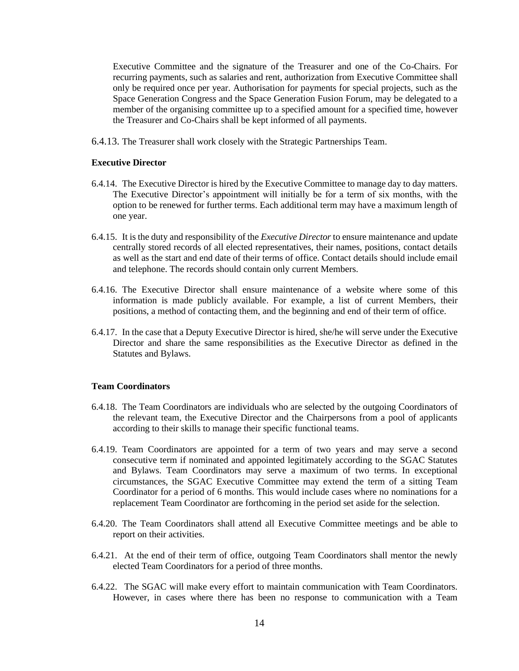Executive Committee and the signature of the Treasurer and one of the Co-Chairs. For recurring payments, such as salaries and rent, authorization from Executive Committee shall only be required once per year. Authorisation for payments for special projects, such as the Space Generation Congress and the Space Generation Fusion Forum, may be delegated to a member of the organising committee up to a specified amount for a specified time, however the Treasurer and Co-Chairs shall be kept informed of all payments.

6.4.13. The Treasurer shall work closely with the Strategic Partnerships Team.

#### **Executive Director**

- 6.4.14. The Executive Director is hired by the Executive Committee to manage day to day matters. The Executive Director's appointment will initially be for a term of six months, with the option to be renewed for further terms. Each additional term may have a maximum length of one year.
- 6.4.15. It is the duty and responsibility of the *Executive Director* to ensure maintenance and update centrally stored records of all elected representatives, their names, positions, contact details as well as the start and end date of their terms of office. Contact details should include email and telephone. The records should contain only current Members.
- 6.4.16. The Executive Director shall ensure maintenance of a website where some of this information is made publicly available. For example, a list of current Members, their positions, a method of contacting them, and the beginning and end of their term of office.
- 6.4.17. In the case that a Deputy Executive Director is hired, she/he will serve under the Executive Director and share the same responsibilities as the Executive Director as defined in the Statutes and Bylaws.

### **Team Coordinators**

- 6.4.18. The Team Coordinators are individuals who are selected by the outgoing Coordinators of the relevant team, the Executive Director and the Chairpersons from a pool of applicants according to their skills to manage their specific functional teams.
- 6.4.19. Team Coordinators are appointed for a term of two years and may serve a second consecutive term if nominated and appointed legitimately according to the SGAC Statutes and Bylaws. Team Coordinators may serve a maximum of two terms. In exceptional circumstances, the SGAC Executive Committee may extend the term of a sitting Team Coordinator for a period of 6 months. This would include cases where no nominations for a replacement Team Coordinator are forthcoming in the period set aside for the selection.
- 6.4.20. The Team Coordinators shall attend all Executive Committee meetings and be able to report on their activities.
- 6.4.21. At the end of their term of office, outgoing Team Coordinators shall mentor the newly elected Team Coordinators for a period of three months.
- 6.4.22. The SGAC will make every effort to maintain communication with Team Coordinators. However, in cases where there has been no response to communication with a Team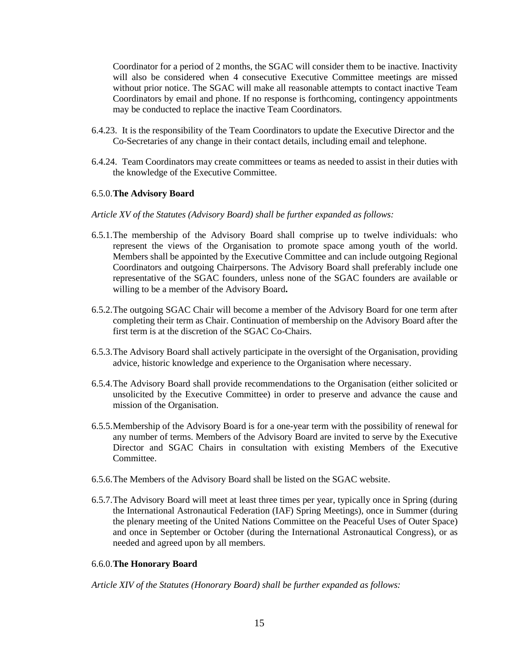Coordinator for a period of 2 months, the SGAC will consider them to be inactive. Inactivity will also be considered when 4 consecutive Executive Committee meetings are missed without prior notice. The SGAC will make all reasonable attempts to contact inactive Team Coordinators by email and phone. If no response is forthcoming, contingency appointments may be conducted to replace the inactive Team Coordinators.

- 6.4.23. It is the responsibility of the Team Coordinators to update the Executive Director and the Co-Secretaries of any change in their contact details, including email and telephone.
- 6.4.24. Team Coordinators may create committees or teams as needed to assist in their duties with the knowledge of the Executive Committee.

#### <span id="page-14-0"></span>6.5.0.**The Advisory Board**

*Article XV of the Statutes (Advisory Board) shall be further expanded as follows:* 

- 6.5.1.The membership of the Advisory Board shall comprise up to twelve individuals: who represent the views of the Organisation to promote space among youth of the world. Members shall be appointed by the Executive Committee and can include outgoing Regional Coordinators and outgoing Chairpersons. The Advisory Board shall preferably include one representative of the SGAC founders, unless none of the SGAC founders are available or willing to be a member of the Advisory Board**.**
- 6.5.2.The outgoing SGAC Chair will become a member of the Advisory Board for one term after completing their term as Chair. Continuation of membership on the Advisory Board after the first term is at the discretion of the SGAC Co-Chairs.
- 6.5.3.The Advisory Board shall actively participate in the oversight of the Organisation, providing advice, historic knowledge and experience to the Organisation where necessary.
- 6.5.4.The Advisory Board shall provide recommendations to the Organisation (either solicited or unsolicited by the Executive Committee) in order to preserve and advance the cause and mission of the Organisation.
- 6.5.5.Membership of the Advisory Board is for a one-year term with the possibility of renewal for any number of terms. Members of the Advisory Board are invited to serve by the Executive Director and SGAC Chairs in consultation with existing Members of the Executive Committee.
- 6.5.6.The Members of the Advisory Board shall be listed on the SGAC website.
- 6.5.7.The Advisory Board will meet at least three times per year, typically once in Spring (during the International Astronautical Federation (IAF) Spring Meetings), once in Summer (during the plenary meeting of the United Nations Committee on the Peaceful Uses of Outer Space) and once in September or October (during the International Astronautical Congress), or as needed and agreed upon by all members.

#### <span id="page-14-1"></span>6.6.0.**The Honorary Board**

*Article XIV of the Statutes (Honorary Board) shall be further expanded as follows:*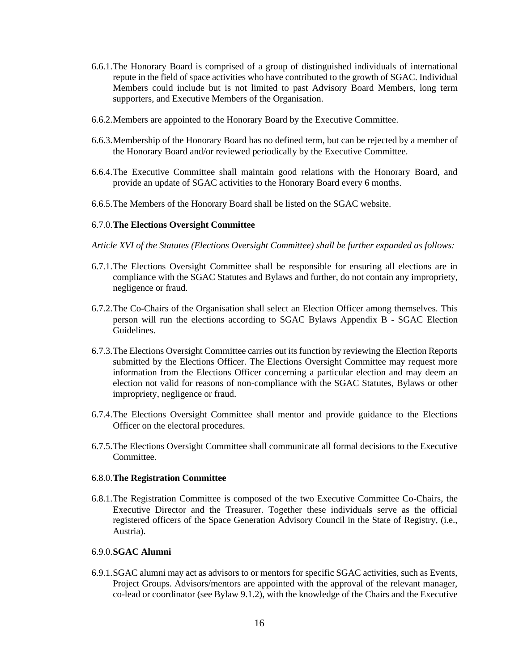- 6.6.1.The Honorary Board is comprised of a group of distinguished individuals of international repute in the field of space activities who have contributed to the growth of SGAC. Individual Members could include but is not limited to past Advisory Board Members, long term supporters, and Executive Members of the Organisation.
- 6.6.2.Members are appointed to the Honorary Board by the Executive Committee.
- 6.6.3.Membership of the Honorary Board has no defined term, but can be rejected by a member of the Honorary Board and/or reviewed periodically by the Executive Committee.
- 6.6.4.The Executive Committee shall maintain good relations with the Honorary Board, and provide an update of SGAC activities to the Honorary Board every 6 months.
- 6.6.5.The Members of the Honorary Board shall be listed on the SGAC website.

# <span id="page-15-0"></span>6.7.0.**The Elections Oversight Committee**

- *Article XVI of the Statutes (Elections Oversight Committee) shall be further expanded as follows:*
- 6.7.1.The Elections Oversight Committee shall be responsible for ensuring all elections are in compliance with the SGAC Statutes and Bylaws and further, do not contain any impropriety, negligence or fraud.
- 6.7.2.The Co-Chairs of the Organisation shall select an Election Officer among themselves. This person will run the elections according to SGAC Bylaws Appendix B - SGAC Election Guidelines.
- 6.7.3.The Elections Oversight Committee carries out its function by reviewing the Election Reports submitted by the Elections Officer. The Elections Oversight Committee may request more information from the Elections Officer concerning a particular election and may deem an election not valid for reasons of non-compliance with the SGAC Statutes, Bylaws or other impropriety, negligence or fraud.
- 6.7.4.The Elections Oversight Committee shall mentor and provide guidance to the Elections Officer on the electoral procedures.
- 6.7.5.The Elections Oversight Committee shall communicate all formal decisions to the Executive Committee.

#### <span id="page-15-1"></span>6.8.0.**The Registration Committee**

6.8.1.The Registration Committee is composed of the two Executive Committee Co-Chairs, the Executive Director and the Treasurer. Together these individuals serve as the official registered officers of the Space Generation Advisory Council in the State of Registry, (i.e., Austria).

#### <span id="page-15-2"></span>6.9.0.**SGAC Alumni**

6.9.1.SGAC alumni may act as advisors to or mentors for specific SGAC activities, such as Events, Project Groups. Advisors/mentors are appointed with the approval of the relevant manager, co-lead or coordinator (see Bylaw 9.1.2), with the knowledge of the Chairs and the Executive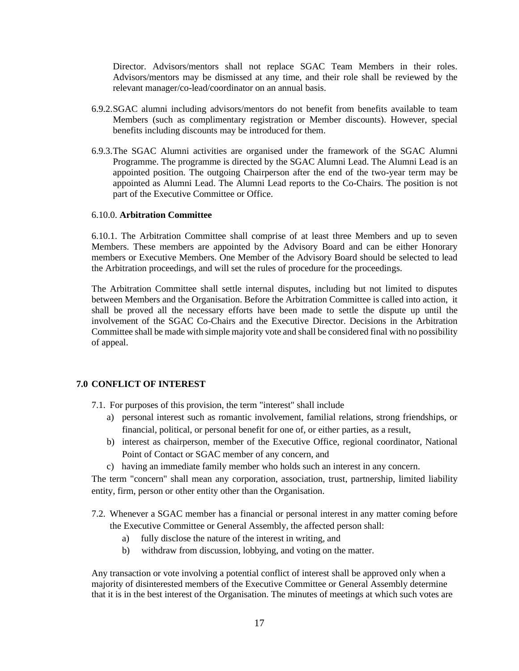Director. Advisors/mentors shall not replace SGAC Team Members in their roles. Advisors/mentors may be dismissed at any time, and their role shall be reviewed by the relevant manager/co-lead/coordinator on an annual basis.

- 6.9.2.SGAC alumni including advisors/mentors do not benefit from benefits available to team Members (such as complimentary registration or Member discounts). However, special benefits including discounts may be introduced for them.
- 6.9.3.The SGAC Alumni activities are organised under the framework of the SGAC Alumni Programme. The programme is directed by the SGAC Alumni Lead. The Alumni Lead is an appointed position. The outgoing Chairperson after the end of the two-year term may be appointed as Alumni Lead. The Alumni Lead reports to the Co-Chairs. The position is not part of the Executive Committee or Office.

#### 6.10.0. **Arbitration Committee**

6.10.1. The Arbitration Committee shall comprise of at least three Members and up to seven Members. These members are appointed by the Advisory Board and can be either Honorary members or Executive Members. One Member of the Advisory Board should be selected to lead the Arbitration proceedings, and will set the rules of procedure for the proceedings.

The Arbitration Committee shall settle internal disputes, including but not limited to disputes between Members and the Organisation. Before the Arbitration Committee is called into action, it shall be proved all the necessary efforts have been made to settle the dispute up until the involvement of the SGAC Co-Chairs and the Executive Director. Decisions in the Arbitration Committee shall be made with simple majority vote and shall be considered final with no possibility of appeal.

# <span id="page-16-0"></span>**7.0 CONFLICT OF INTEREST**

7.1. For purposes of this provision, the term "interest" shall include

- a) personal interest such as romantic involvement, familial relations, strong friendships, or financial, political, or personal benefit for one of, or either parties, as a result,
- b) interest as chairperson, member of the Executive Office, regional coordinator, National Point of Contact or SGAC member of any concern, and
- c) having an immediate family member who holds such an interest in any concern.

The term "concern" shall mean any corporation, association, trust, partnership, limited liability entity, firm, person or other entity other than the Organisation.

- 7.2. Whenever a SGAC member has a financial or personal interest in any matter coming before the Executive Committee or General Assembly, the affected person shall:
	- a) fully disclose the nature of the interest in writing, and
	- b) withdraw from discussion, lobbying, and voting on the matter.

Any transaction or vote involving a potential conflict of interest shall be approved only when a majority of disinterested members of the Executive Committee or General Assembly determine that it is in the best interest of the Organisation. The minutes of meetings at which such votes are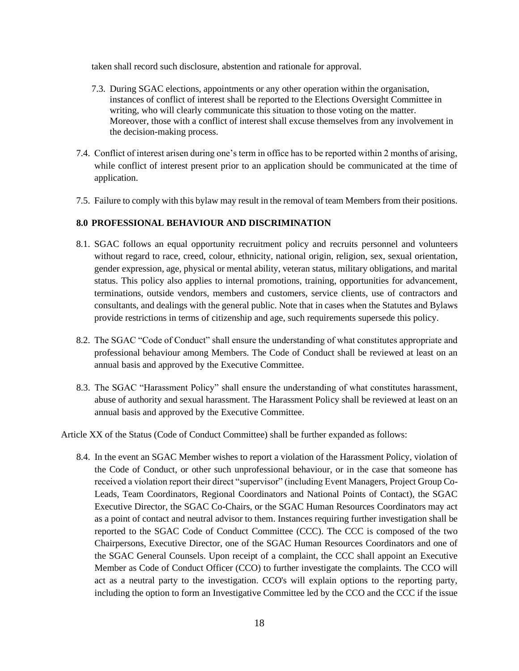taken shall record such disclosure, abstention and rationale for approval.

- 7.3. During SGAC elections, appointments or any other operation within the organisation, instances of conflict of interest shall be reported to the Elections Oversight Committee in writing, who will clearly communicate this situation to those voting on the matter. Moreover, those with a conflict of interest shall excuse themselves from any involvement in the decision-making process.
- 7.4. Conflict of interest arisen during one's term in office has to be reported within 2 months of arising, while conflict of interest present prior to an application should be communicated at the time of application.
- 7.5. Failure to comply with this bylaw may result in the removal of team Members from their positions.

# <span id="page-17-0"></span>**8.0 PROFESSIONAL BEHAVIOUR AND DISCRIMINATION**

- 8.1. SGAC follows an equal opportunity recruitment policy and recruits personnel and volunteers without regard to race, creed, colour, ethnicity, national origin, religion, sex, sexual orientation, gender expression, age, physical or mental ability, veteran status, military obligations, and marital status. This policy also applies to internal promotions, training, opportunities for advancement, terminations, outside vendors, members and customers, service clients, use of contractors and consultants, and dealings with the general public. Note that in cases when the Statutes and Bylaws provide restrictions in terms of citizenship and age, such requirements supersede this policy.
- 8.2. The SGAC "Code of Conduct" shall ensure the understanding of what constitutes appropriate and professional behaviour among Members. The Code of Conduct shall be reviewed at least on an annual basis and approved by the Executive Committee.
- 8.3. The SGAC "Harassment Policy" shall ensure the understanding of what constitutes harassment, abuse of authority and sexual harassment. The Harassment Policy shall be reviewed at least on an annual basis and approved by the Executive Committee.

Article XX of the Status (Code of Conduct Committee) shall be further expanded as follows:

8.4. In the event an SGAC Member wishes to report a violation of the Harassment Policy, violation of the Code of Conduct, or other such unprofessional behaviour, or in the case that someone has received a violation report their direct "supervisor" (including Event Managers, Project Group Co-Leads, Team Coordinators, Regional Coordinators and National Points of Contact), the SGAC Executive Director, the SGAC Co-Chairs, or the SGAC Human Resources Coordinators may act as a point of contact and neutral advisor to them. Instances requiring further investigation shall be reported to the SGAC Code of Conduct Committee (CCC). The CCC is composed of the two Chairpersons, Executive Director, one of the SGAC Human Resources Coordinators and one of the SGAC General Counsels. Upon receipt of a complaint, the CCC shall appoint an Executive Member as Code of Conduct Officer (CCO) to further investigate the complaints. The CCO will act as a neutral party to the investigation. CCO's will explain options to the reporting party, including the option to form an Investigative Committee led by the CCO and the CCC if the issue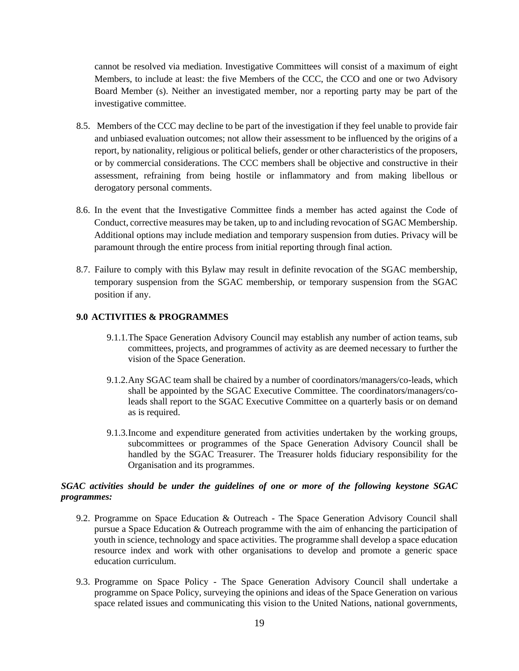cannot be resolved via mediation. Investigative Committees will consist of a maximum of eight Members, to include at least: the five Members of the CCC, the CCO and one or two Advisory Board Member (s). Neither an investigated member, nor a reporting party may be part of the investigative committee.

- 8.5. Members of the CCC may decline to be part of the investigation if they feel unable to provide fair and unbiased evaluation outcomes; not allow their assessment to be influenced by the origins of a report, by nationality, religious or political beliefs, gender or other characteristics of the proposers, or by commercial considerations. The CCC members shall be objective and constructive in their assessment, refraining from being hostile or inflammatory and from making libellous or derogatory personal comments.
- 8.6. In the event that the Investigative Committee finds a member has acted against the Code of Conduct, corrective measures may be taken, up to and including revocation of SGAC Membership. Additional options may include mediation and temporary suspension from duties. Privacy will be paramount through the entire process from initial reporting through final action.
- 8.7. Failure to comply with this Bylaw may result in definite revocation of the SGAC membership, temporary suspension from the SGAC membership, or temporary suspension from the SGAC position if any.

# <span id="page-18-0"></span>**9.0 ACTIVITIES & PROGRAMMES**

- 9.1.1.The Space Generation Advisory Council may establish any number of action teams, sub committees, projects, and programmes of activity as are deemed necessary to further the vision of the Space Generation.
- 9.1.2.Any SGAC team shall be chaired by a number of coordinators/managers/co-leads, which shall be appointed by the SGAC Executive Committee. The coordinators/managers/coleads shall report to the SGAC Executive Committee on a quarterly basis or on demand as is required.
- 9.1.3.Income and expenditure generated from activities undertaken by the working groups, subcommittees or programmes of the Space Generation Advisory Council shall be handled by the SGAC Treasurer. The Treasurer holds fiduciary responsibility for the Organisation and its programmes.

# *SGAC activities should be under the guidelines of one or more of the following keystone SGAC programmes:*

- 9.2. Programme on Space Education & Outreach The Space Generation Advisory Council shall pursue a Space Education & Outreach programme with the aim of enhancing the participation of youth in science, technology and space activities. The programme shall develop a space education resource index and work with other organisations to develop and promote a generic space education curriculum.
- 9.3. Programme on Space Policy The Space Generation Advisory Council shall undertake a programme on Space Policy, surveying the opinions and ideas of the Space Generation on various space related issues and communicating this vision to the United Nations, national governments,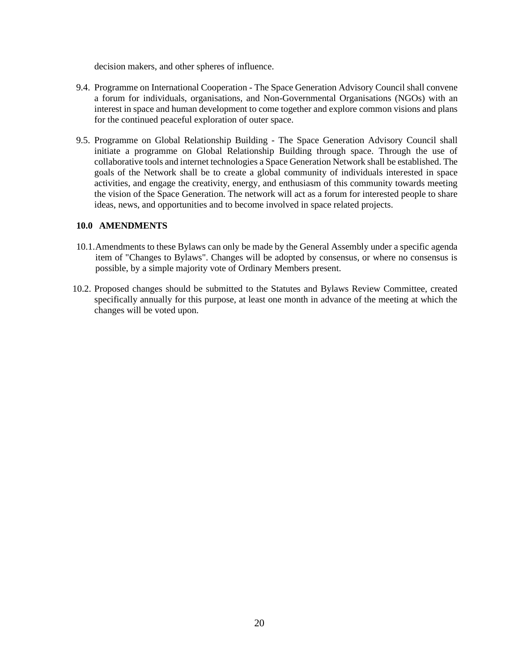decision makers, and other spheres of influence.

- 9.4. Programme on International Cooperation The Space Generation Advisory Council shall convene a forum for individuals, organisations, and Non-Governmental Organisations (NGOs) with an interest in space and human development to come together and explore common visions and plans for the continued peaceful exploration of outer space.
- 9.5. Programme on Global Relationship Building The Space Generation Advisory Council shall initiate a programme on Global Relationship Building through space. Through the use of collaborative tools and internet technologies a Space Generation Network shall be established. The goals of the Network shall be to create a global community of individuals interested in space activities, and engage the creativity, energy, and enthusiasm of this community towards meeting the vision of the Space Generation. The network will act as a forum for interested people to share ideas, news, and opportunities and to become involved in space related projects.

# <span id="page-19-0"></span>**10.0 AMENDMENTS**

- 10.1.Amendments to these Bylaws can only be made by the General Assembly under a specific agenda item of "Changes to Bylaws". Changes will be adopted by consensus, or where no consensus is possible, by a simple majority vote of Ordinary Members present.
- 10.2. Proposed changes should be submitted to the Statutes and Bylaws Review Committee, created specifically annually for this purpose, at least one month in advance of the meeting at which the changes will be voted upon.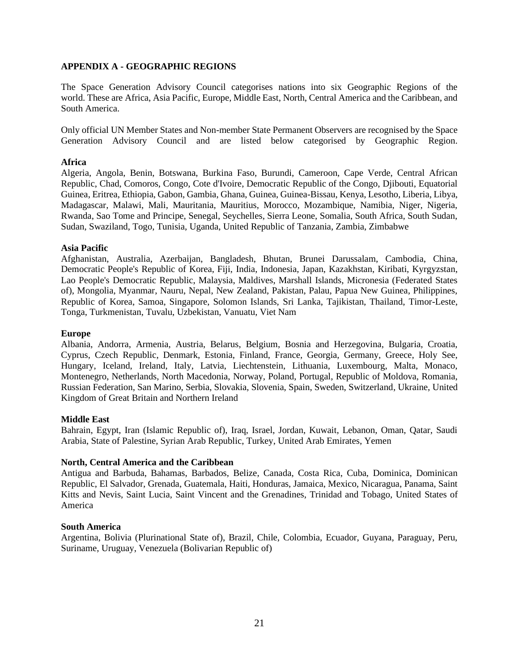# <span id="page-20-0"></span>**APPENDIX A - GEOGRAPHIC REGIONS**

The Space Generation Advisory Council categorises nations into six Geographic Regions of the world. These are Africa, Asia Pacific, Europe, Middle East, North, Central America and the Caribbean, and South America.

Only official UN Member States and Non-member State Permanent Observers are recognised by the Space Generation Advisory Council and are listed below categorised by Geographic Region.

### **Africa**

Algeria, Angola, Benin, Botswana, Burkina Faso, Burundi, Cameroon, Cape Verde, Central African Republic, Chad, Comoros, Congo, Cote d'Ivoire, Democratic Republic of the Congo, Djibouti, Equatorial Guinea, Eritrea, Ethiopia, Gabon, Gambia, Ghana, Guinea, Guinea-Bissau, Kenya, Lesotho, Liberia, Libya, Madagascar, Malawi, Mali, Mauritania, Mauritius, Morocco, Mozambique, Namibia, Niger, Nigeria, Rwanda, Sao Tome and Principe, Senegal, Seychelles, Sierra Leone, Somalia, South Africa, South Sudan, Sudan, Swaziland, Togo, Tunisia, Uganda, United Republic of Tanzania, Zambia, Zimbabwe

# **Asia Pacific**

Afghanistan, Australia, Azerbaijan, Bangladesh, Bhutan, Brunei Darussalam, Cambodia, China, Democratic People's Republic of Korea, Fiji, India, Indonesia, Japan, Kazakhstan, Kiribati, Kyrgyzstan, Lao People's Democratic Republic, Malaysia, Maldives, Marshall Islands, Micronesia (Federated States of), Mongolia, Myanmar, Nauru, Nepal, New Zealand, Pakistan, Palau, Papua New Guinea, Philippines, Republic of Korea, Samoa, Singapore, Solomon Islands, Sri Lanka, Tajikistan, Thailand, Timor-Leste, Tonga, Turkmenistan, Tuvalu, Uzbekistan, Vanuatu, Viet Nam

# **Europe**

Albania, Andorra, Armenia, Austria, Belarus, Belgium, Bosnia and Herzegovina, Bulgaria, Croatia, Cyprus, Czech Republic, Denmark, Estonia, Finland, France, Georgia, Germany, Greece, Holy See, Hungary, Iceland, Ireland, Italy, Latvia, Liechtenstein, Lithuania, Luxembourg, Malta, Monaco, Montenegro, Netherlands, North Macedonia, Norway, Poland, Portugal, Republic of Moldova, Romania, Russian Federation, San Marino, Serbia, Slovakia, Slovenia, Spain, Sweden, Switzerland, Ukraine, United Kingdom of Great Britain and Northern Ireland

# **Middle East**

Bahrain, Egypt, Iran (Islamic Republic of), Iraq, Israel, Jordan, Kuwait, Lebanon, Oman, Qatar, Saudi Arabia, State of Palestine, Syrian Arab Republic, Turkey, United Arab Emirates, Yemen

#### **North, Central America and the Caribbean**

Antigua and Barbuda, Bahamas, Barbados, Belize, Canada, Costa Rica, Cuba, Dominica, Dominican Republic, El Salvador, Grenada, Guatemala, Haiti, Honduras, Jamaica, Mexico, Nicaragua, Panama, Saint Kitts and Nevis, Saint Lucia, Saint Vincent and the Grenadines, Trinidad and Tobago, United States of America

## **South America**

Argentina, Bolivia (Plurinational State of), Brazil, Chile, Colombia, Ecuador, Guyana, Paraguay, Peru, Suriname, Uruguay, Venezuela (Bolivarian Republic of)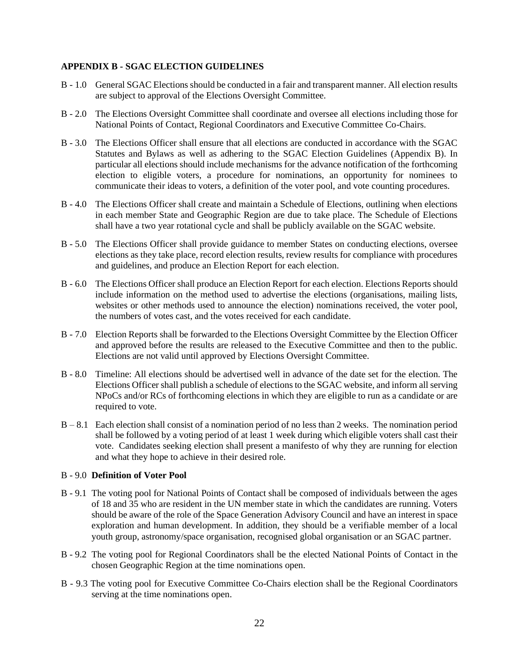# <span id="page-21-0"></span>**APPENDIX B - SGAC ELECTION GUIDELINES**

- B 1.0 General SGAC Elections should be conducted in a fair and transparent manner. All election results are subject to approval of the Elections Oversight Committee.
- B 2.0 The Elections Oversight Committee shall coordinate and oversee all elections including those for National Points of Contact, Regional Coordinators and Executive Committee Co-Chairs.
- B 3.0 The Elections Officer shall ensure that all elections are conducted in accordance with the SGAC Statutes and Bylaws as well as adhering to the SGAC Election Guidelines (Appendix B). In particular all elections should include mechanisms for the advance notification of the forthcoming election to eligible voters, a procedure for nominations, an opportunity for nominees to communicate their ideas to voters, a definition of the voter pool, and vote counting procedures.
- B 4.0 The Elections Officer shall create and maintain a Schedule of Elections, outlining when elections in each member State and Geographic Region are due to take place. The Schedule of Elections shall have a two year rotational cycle and shall be publicly available on the SGAC website.
- B 5.0 The Elections Officer shall provide guidance to member States on conducting elections, oversee elections as they take place, record election results, review results for compliance with procedures and guidelines, and produce an Election Report for each election.
- B 6.0 The Elections Officer shall produce an Election Report for each election. Elections Reports should include information on the method used to advertise the elections (organisations, mailing lists, websites or other methods used to announce the election) nominations received, the voter pool, the numbers of votes cast, and the votes received for each candidate.
- B 7.0 Election Reports shall be forwarded to the Elections Oversight Committee by the Election Officer and approved before the results are released to the Executive Committee and then to the public. Elections are not valid until approved by Elections Oversight Committee.
- B 8.0 Timeline: All elections should be advertised well in advance of the date set for the election. The Elections Officer shall publish a schedule of elections to the SGAC website, and inform all serving NPoCs and/or RCs of forthcoming elections in which they are eligible to run as a candidate or are required to vote.
- $B 8.1$  Each election shall consist of a nomination period of no less than 2 weeks. The nomination period shall be followed by a voting period of at least 1 week during which eligible voters shall cast their vote. Candidates seeking election shall present a manifesto of why they are running for election and what they hope to achieve in their desired role.

# B - 9.0 **Definition of Voter Pool**

- B 9.1 The voting pool for National Points of Contact shall be composed of individuals between the ages of 18 and 35 who are resident in the UN member state in which the candidates are running. Voters should be aware of the role of the Space Generation Advisory Council and have an interest in space exploration and human development. In addition, they should be a verifiable member of a local youth group, astronomy/space organisation, recognised global organisation or an SGAC partner.
- B 9.2 The voting pool for Regional Coordinators shall be the elected National Points of Contact in the chosen Geographic Region at the time nominations open.
- B 9.3 The voting pool for Executive Committee Co-Chairs election shall be the Regional Coordinators serving at the time nominations open.